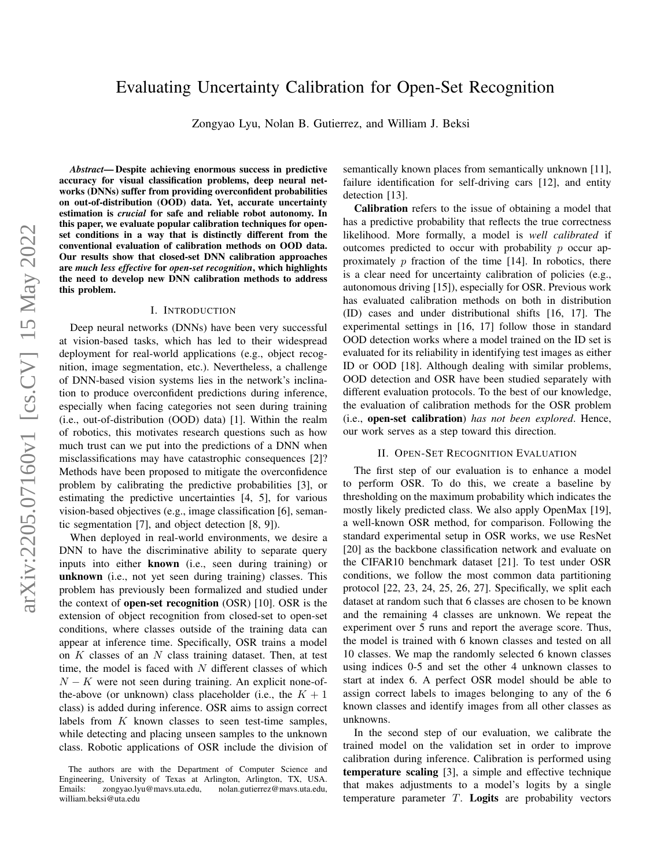# Evaluating Uncertainty Calibration for Open-Set Recognition

Zongyao Lyu, Nolan B. Gutierrez, and William J. Beksi

*Abstract*— Despite achieving enormous success in predictive accuracy for visual classification problems, deep neural networks (DNNs) suffer from providing overconfident probabilities on out-of-distribution (OOD) data. Yet, accurate uncertainty estimation is *crucial* for safe and reliable robot autonomy. In this paper, we evaluate popular calibration techniques for openset conditions in a way that is distinctly different from the conventional evaluation of calibration methods on OOD data. Our results show that closed-set DNN calibration approaches are *much less effective* for *open-set recognition*, which highlights the need to develop new DNN calibration methods to address this problem.

## I. INTRODUCTION

Deep neural networks (DNNs) have been very successful at vision-based tasks, which has led to their widespread deployment for real-world applications (e.g., object recognition, image segmentation, etc.). Nevertheless, a challenge of DNN-based vision systems lies in the network's inclination to produce overconfident predictions during inference, especially when facing categories not seen during training (i.e., out-of-distribution (OOD) data) [1]. Within the realm of robotics, this motivates research questions such as how much trust can we put into the predictions of a DNN when misclassifications may have catastrophic consequences [2]? Methods have been proposed to mitigate the overconfidence problem by calibrating the predictive probabilities [3], or estimating the predictive uncertainties [4, 5], for various vision-based objectives (e.g., image classification [6], semantic segmentation [7], and object detection [8, 9]).

When deployed in real-world environments, we desire a DNN to have the discriminative ability to separate query inputs into either known (i.e., seen during training) or unknown (i.e., not yet seen during training) classes. This problem has previously been formalized and studied under the context of open-set recognition (OSR) [10]. OSR is the extension of object recognition from closed-set to open-set conditions, where classes outside of the training data can appear at inference time. Specifically, OSR trains a model on  $K$  classes of an  $N$  class training dataset. Then, at test time, the model is faced with  $N$  different classes of which  $N - K$  were not seen during training. An explicit none-ofthe-above (or unknown) class placeholder (i.e., the  $K + 1$ class) is added during inference. OSR aims to assign correct labels from  $K$  known classes to seen test-time samples, while detecting and placing unseen samples to the unknown class. Robotic applications of OSR include the division of semantically known places from semantically unknown [11], failure identification for self-driving cars [12], and entity detection [13].

Calibration refers to the issue of obtaining a model that has a predictive probability that reflects the true correctness likelihood. More formally, a model is *well calibrated* if outcomes predicted to occur with probability  $p$  occur approximately  $p$  fraction of the time [14]. In robotics, there is a clear need for uncertainty calibration of policies (e.g., autonomous driving [15]), especially for OSR. Previous work has evaluated calibration methods on both in distribution (ID) cases and under distributional shifts [16, 17]. The experimental settings in [16, 17] follow those in standard OOD detection works where a model trained on the ID set is evaluated for its reliability in identifying test images as either ID or OOD [18]. Although dealing with similar problems, OOD detection and OSR have been studied separately with different evaluation protocols. To the best of our knowledge, the evaluation of calibration methods for the OSR problem (i.e., open-set calibration) *has not been explored*. Hence, our work serves as a step toward this direction.

## II. OPEN-SET RECOGNITION EVALUATION

The first step of our evaluation is to enhance a model to perform OSR. To do this, we create a baseline by thresholding on the maximum probability which indicates the mostly likely predicted class. We also apply OpenMax [19], a well-known OSR method, for comparison. Following the standard experimental setup in OSR works, we use ResNet [20] as the backbone classification network and evaluate on the CIFAR10 benchmark dataset [21]. To test under OSR conditions, we follow the most common data partitioning protocol [22, 23, 24, 25, 26, 27]. Specifically, we split each dataset at random such that 6 classes are chosen to be known and the remaining 4 classes are unknown. We repeat the experiment over 5 runs and report the average score. Thus, the model is trained with 6 known classes and tested on all 10 classes. We map the randomly selected 6 known classes using indices 0-5 and set the other 4 unknown classes to start at index 6. A perfect OSR model should be able to assign correct labels to images belonging to any of the 6 known classes and identify images from all other classes as unknowns.

In the second step of our evaluation, we calibrate the trained model on the validation set in order to improve calibration during inference. Calibration is performed using temperature scaling [3], a simple and effective technique that makes adjustments to a model's logits by a single temperature parameter  $T$ . Logits are probability vectors

The authors are with the Department of Computer Science and Engineering, University of Texas at Arlington, Arlington, TX, USA.<br>Emails: zongyao.lyu@mavs.uta.edu, nolan.gutierrez@mavs.uta.edu, nolan.gutierrez@mavs.uta.edu, william.beksi@uta.edu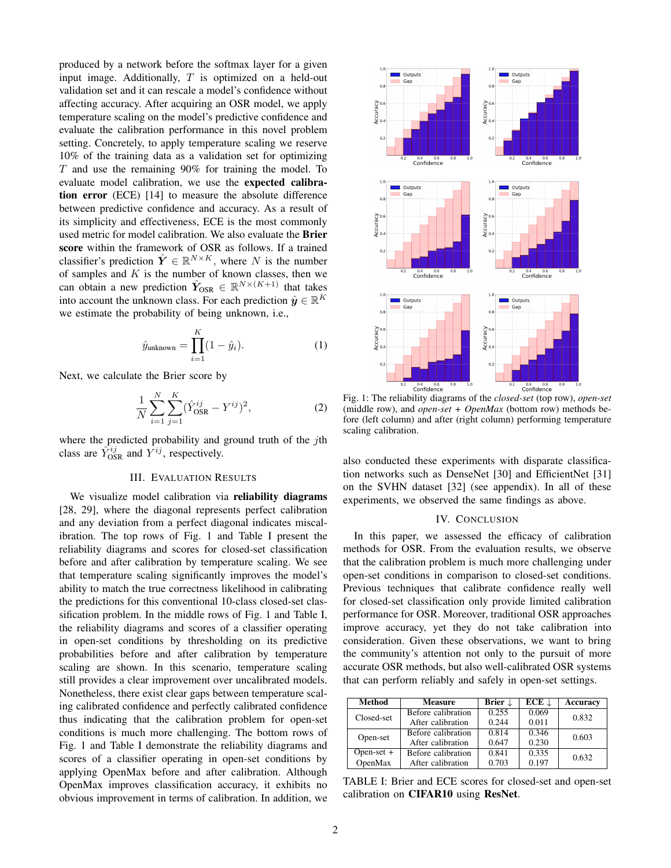produced by a network before the softmax layer for a given input image. Additionally,  $T$  is optimized on a held-out validation set and it can rescale a model's confidence without affecting accuracy. After acquiring an OSR model, we apply temperature scaling on the model's predictive confidence and evaluate the calibration performance in this novel problem setting. Concretely, to apply temperature scaling we reserve 10% of the training data as a validation set for optimizing  $T$  and use the remaining 90% for training the model. To evaluate model calibration, we use the expected calibration error (ECE) [14] to measure the absolute difference between predictive confidence and accuracy. As a result of its simplicity and effectiveness, ECE is the most commonly used metric for model calibration. We also evaluate the Brier score within the framework of OSR as follows. If a trained classifier's prediction  $\hat{Y} \in \mathbb{R}^{N \times K}$ , where N is the number of samples and  $K$  is the number of known classes, then we can obtain a new prediction  $\hat{Y}_{OSR} \in \mathbb{R}^{N \times (K+1)}$  that takes into account the unknown class. For each prediction  $\hat{y} \in \mathbb{R}^K$ we estimate the probability of being unknown, i.e.,

$$
\hat{y}_{\text{unknown}} = \prod_{i=1}^{K} (1 - \hat{y}_i). \tag{1}
$$

Next, we calculate the Brier score by

$$
\frac{1}{N} \sum_{i=1}^{N} \sum_{j=1}^{K} (\hat{Y}_{OSR}^{ij} - Y^{ij})^2,
$$
\n(2)

where the predicted probability and ground truth of the  $j$ th class are  $\hat{Y}_{OSR}^{ij}$  and  $\hat{Y}^{ij}$ , respectively.

# III. EVALUATION RESULTS

We visualize model calibration via **reliability diagrams** [28, 29], where the diagonal represents perfect calibration and any deviation from a perfect diagonal indicates miscalibration. The top rows of Fig. [1](#page-1-0) and Table [I](#page-1-1) present the reliability diagrams and scores for closed-set classification before and after calibration by temperature scaling. We see that temperature scaling significantly improves the model's ability to match the true correctness likelihood in calibrating the predictions for this conventional 10-class closed-set classification problem. In the middle rows of Fig. [1](#page-1-0) and Table [I,](#page-1-1) the reliability diagrams and scores of a classifier operating in open-set conditions by thresholding on its predictive probabilities before and after calibration by temperature scaling are shown. In this scenario, temperature scaling still provides a clear improvement over uncalibrated models. Nonetheless, there exist clear gaps between temperature scaling calibrated confidence and perfectly calibrated confidence thus indicating that the calibration problem for open-set conditions is much more challenging. The bottom rows of Fig. [1](#page-1-0) and Table [I](#page-1-1) demonstrate the reliability diagrams and scores of a classifier operating in open-set conditions by applying OpenMax before and after calibration. Although OpenMax improves classification accuracy, it exhibits no obvious improvement in terms of calibration. In addition, we

<span id="page-1-0"></span>

Fig. 1: The reliability diagrams of the *closed-set* (top row), *open-set* (middle row), and *open-set + OpenMax* (bottom row) methods before (left column) and after (right column) performing temperature scaling calibration.

also conducted these experiments with disparate classification networks such as DenseNet [30] and EfficientNet [31] on the SVHN dataset [32] (see appendix). In all of these experiments, we observed the same findings as above.

## IV. CONCLUSION

In this paper, we assessed the efficacy of calibration methods for OSR. From the evaluation results, we observe that the calibration problem is much more challenging under open-set conditions in comparison to closed-set conditions. Previous techniques that calibrate confidence really well for closed-set classification only provide limited calibration performance for OSR. Moreover, traditional OSR approaches improve accuracy, yet they do not take calibration into consideration. Given these observations, we want to bring the community's attention not only to the pursuit of more accurate OSR methods, but also well-calibrated OSR systems that can perform reliably and safely in open-set settings.

<span id="page-1-1"></span>

| Method       | <b>Measure</b>     | Brier $\downarrow$ | $ECE \perp$ | Accuracy |
|--------------|--------------------|--------------------|-------------|----------|
| Closed-set   | Before calibration | 0.255              | 0.069       | 0.832    |
|              | After calibration  | 0.244              | 0.011       |          |
| Open-set     | Before calibration | 0.814              | 0.346       | 0.603    |
|              | After calibration  | 0.647              | 0.230       |          |
| Open-set $+$ | Before calibration | 0.841              | 0.335       | 0.632    |
| OpenMax      | After calibration  | 0.703              | 0.197       |          |

TABLE I: Brier and ECE scores for closed-set and open-set calibration on CIFAR10 using ResNet.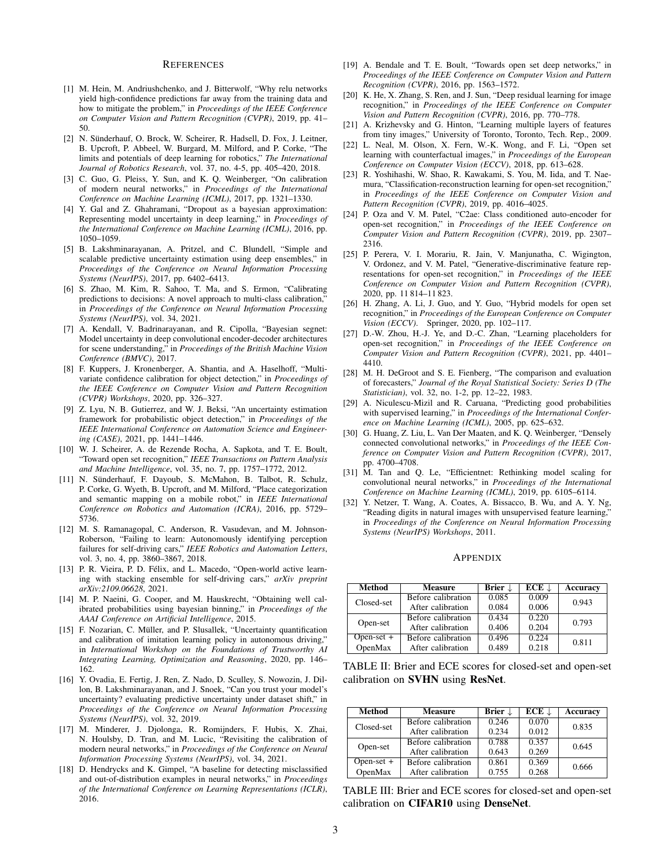#### **REFERENCES**

- [1] M. Hein, M. Andriushchenko, and J. Bitterwolf, "Why relu networks yield high-confidence predictions far away from the training data and how to mitigate the problem," in *Proceedings of the IEEE Conference on Computer Vision and Pattern Recognition (CVPR)*, 2019, pp. 41– 50.
- [2] N. Sünderhauf, O. Brock, W. Scheirer, R. Hadsell, D. Fox, J. Leitner, B. Upcroft, P. Abbeel, W. Burgard, M. Milford, and P. Corke, "The limits and potentials of deep learning for robotics," *The International Journal of Robotics Research*, vol. 37, no. 4-5, pp. 405–420, 2018.
- [3] C. Guo, G. Pleiss, Y. Sun, and K. Q. Weinberger, "On calibration of modern neural networks," in *Proceedings of the International Conference on Machine Learning (ICML)*, 2017, pp. 1321–1330.
- [4] Y. Gal and Z. Ghahramani, "Dropout as a bayesian approximation: Representing model uncertainty in deep learning," in *Proceedings of the International Conference on Machine Learning (ICML)*, 2016, pp. 1050–1059.
- [5] B. Lakshminarayanan, A. Pritzel, and C. Blundell, "Simple and scalable predictive uncertainty estimation using deep ensembles," in *Proceedings of the Conference on Neural Information Processing Systems (NeurIPS)*, 2017, pp. 6402–6413.
- [6] S. Zhao, M. Kim, R. Sahoo, T. Ma, and S. Ermon, "Calibrating predictions to decisions: A novel approach to multi-class calibration," in *Proceedings of the Conference on Neural Information Processing Systems (NeurIPS)*, vol. 34, 2021.
- [7] A. Kendall, V. Badrinarayanan, and R. Cipolla, "Bayesian segnet: Model uncertainty in deep convolutional encoder-decoder architectures for scene understanding," in *Proceedings of the British Machine Vision Conference (BMVC)*, 2017.
- [8] F. Kuppers, J. Kronenberger, A. Shantia, and A. Haselhoff, "Multivariate confidence calibration for object detection," in *Proceedings of the IEEE Conference on Computer Vision and Pattern Recognition (CVPR) Workshops*, 2020, pp. 326–327.
- [9] Z. Lyu, N. B. Gutierrez, and W. J. Beksi, "An uncertainty estimation framework for probabilistic object detection," in *Proceedings of the IEEE International Conference on Automation Science and Engineering (CASE)*, 2021, pp. 1441–1446.
- [10] W. J. Scheirer, A. de Rezende Rocha, A. Sapkota, and T. E. Boult, "Toward open set recognition," *IEEE Transactions on Pattern Analysis and Machine Intelligence*, vol. 35, no. 7, pp. 1757–1772, 2012.
- [11] N. Sünderhauf, F. Dayoub, S. McMahon, B. Talbot, R. Schulz, P. Corke, G. Wyeth, B. Upcroft, and M. Milford, "Place categorization and semantic mapping on a mobile robot," in *IEEE International Conference on Robotics and Automation (ICRA)*, 2016, pp. 5729– 5736.
- [12] M. S. Ramanagopal, C. Anderson, R. Vasudevan, and M. Johnson-Roberson, "Failing to learn: Autonomously identifying perception failures for self-driving cars," *IEEE Robotics and Automation Letters*, vol. 3, no. 4, pp. 3860–3867, 2018.
- [13] P. R. Vieira, P. D. Félix, and L. Macedo, "Open-world active learning with stacking ensemble for self-driving cars," *arXiv preprint arXiv:2109.06628*, 2021.
- [14] M. P. Naeini, G. Cooper, and M. Hauskrecht, "Obtaining well calibrated probabilities using bayesian binning," in *Proceedings of the AAAI Conference on Artificial Intelligence*, 2015.
- [15] F. Nozarian, C. Müller, and P. Slusallek, "Uncertainty quantification and calibration of imitation learning policy in autonomous driving," in *International Workshop on the Foundations of Trustworthy AI Integrating Learning, Optimization and Reasoning*, 2020, pp. 146– 162.
- [16] Y. Ovadia, E. Fertig, J. Ren, Z. Nado, D. Sculley, S. Nowozin, J. Dillon, B. Lakshminarayanan, and J. Snoek, "Can you trust your model's uncertainty? evaluating predictive uncertainty under dataset shift," in *Proceedings of the Conference on Neural Information Processing Systems (NeurIPS)*, vol. 32, 2019.
- [17] M. Minderer, J. Djolonga, R. Romijnders, F. Hubis, X. Zhai, N. Houlsby, D. Tran, and M. Lucic, "Revisiting the calibration of modern neural networks," in *Proceedings of the Conference on Neural Information Processing Systems (NeurIPS)*, vol. 34, 2021.
- [18] D. Hendrycks and K. Gimpel, "A baseline for detecting misclassified and out-of-distribution examples in neural networks," in *Proceedings of the International Conference on Learning Representations (ICLR)*, 2016.
- [19] A. Bendale and T. E. Boult, "Towards open set deep networks," in *Proceedings of the IEEE Conference on Computer Vision and Pattern Recognition (CVPR)*, 2016, pp. 1563–1572.
- [20] K. He, X. Zhang, S. Ren, and J. Sun, "Deep residual learning for image recognition," in *Proceedings of the IEEE Conference on Computer Vision and Pattern Recognition (CVPR)*, 2016, pp. 770–778.
- [21] A. Krizhevsky and G. Hinton, "Learning multiple layers of features from tiny images," University of Toronto, Toronto, Tech. Rep., 2009.
- [22] L. Neal, M. Olson, X. Fern, W.-K. Wong, and F. Li, "Open set learning with counterfactual images," in *Proceedings of the European Conference on Computer Vision (ECCV)*, 2018, pp. 613–628.
- [23] R. Yoshihashi, W. Shao, R. Kawakami, S. You, M. Iida, and T. Naemura, "Classification-reconstruction learning for open-set recognition," in *Proceedings of the IEEE Conference on Computer Vision and Pattern Recognition (CVPR)*, 2019, pp. 4016–4025.
- [24] P. Oza and V. M. Patel, "C2ae: Class conditioned auto-encoder for open-set recognition," in *Proceedings of the IEEE Conference on Computer Vision and Pattern Recognition (CVPR)*, 2019, pp. 2307– 2316.
- [25] P. Perera, V. I. Morariu, R. Jain, V. Manjunatha, C. Wigington, V. Ordonez, and V. M. Patel, "Generative-discriminative feature representations for open-set recognition," in *Proceedings of the IEEE Conference on Computer Vision and Pattern Recognition (CVPR)*, 2020, pp. 11 814–11 823.
- [26] H. Zhang, A. Li, J. Guo, and Y. Guo, "Hybrid models for open set recognition," in *Proceedings of the European Conference on Computer Vision (ECCV)*. Springer, 2020, pp. 102–117.
- [27] D.-W. Zhou, H.-J. Ye, and D.-C. Zhan, "Learning placeholders for open-set recognition," in *Proceedings of the IEEE Conference on Computer Vision and Pattern Recognition (CVPR)*, 2021, pp. 4401– 4410.
- [28] M. H. DeGroot and S. E. Fienberg, "The comparison and evaluation of forecasters," *Journal of the Royal Statistical Society: Series D (The Statistician)*, vol. 32, no. 1-2, pp. 12–22, 1983.
- [29] A. Niculescu-Mizil and R. Caruana, "Predicting good probabilities with supervised learning," in *Proceedings of the International Conference on Machine Learning (ICML)*, 2005, pp. 625–632.
- [30] G. Huang, Z. Liu, L. Van Der Maaten, and K. Q. Weinberger, "Densely connected convolutional networks," in *Proceedings of the IEEE Conference on Computer Vision and Pattern Recognition (CVPR)*, 2017, pp. 4700–4708.
- [31] M. Tan and Q. Le, "Efficientnet: Rethinking model scaling for convolutional neural networks," in *Proceedings of the International Conference on Machine Learning (ICML)*, 2019, pp. 6105–6114.
- [32] Y. Netzer, T. Wang, A. Coates, A. Bissacco, B. Wu, and A. Y. Ng, "Reading digits in natural images with unsupervised feature learning," in *Proceedings of the Conference on Neural Information Processing Systems (NeurIPS) Workshops*, 2011.

#### APPENDIX

| Method       | <b>Measure</b>     | Brier $\downarrow$ | $ECE \downarrow$ | Accuracy |
|--------------|--------------------|--------------------|------------------|----------|
| Closed-set   | Before calibration | 0.085              | 0.009            | 0.943    |
|              | After calibration  | 0.084              | 0.006            |          |
| Open-set     | Before calibration | 0.434              | 0.220            | 0.793    |
|              | After calibration  | 0.406              | 0.204            |          |
| $Open-set +$ | Before calibration | 0.496              | 0.224            | 0.811    |
| OpenMax      | After calibration  | 0.489              | 0.218            |          |

TABLE II: Brier and ECE scores for closed-set and open-set calibration on SVHN using ResNet.

| Method       | <b>Measure</b>     | Brier $\downarrow$ | $ECE \perp$ | Accuracy |
|--------------|--------------------|--------------------|-------------|----------|
| Closed-set   | Before calibration | 0.246              | 0.070       | 0.835    |
|              | After calibration  | 0.234              | 0.012       |          |
| Open-set     | Before calibration | 0.788              | 0.357       | 0.645    |
|              | After calibration  | 0.643              | 0.269       |          |
| Open-set $+$ | Before calibration | 0.861              | 0.369       | 0.666    |
| OpenMax      | After calibration  | 0.755              | 0.268       |          |

TABLE III: Brier and ECE scores for closed-set and open-set calibration on CIFAR10 using DenseNet.